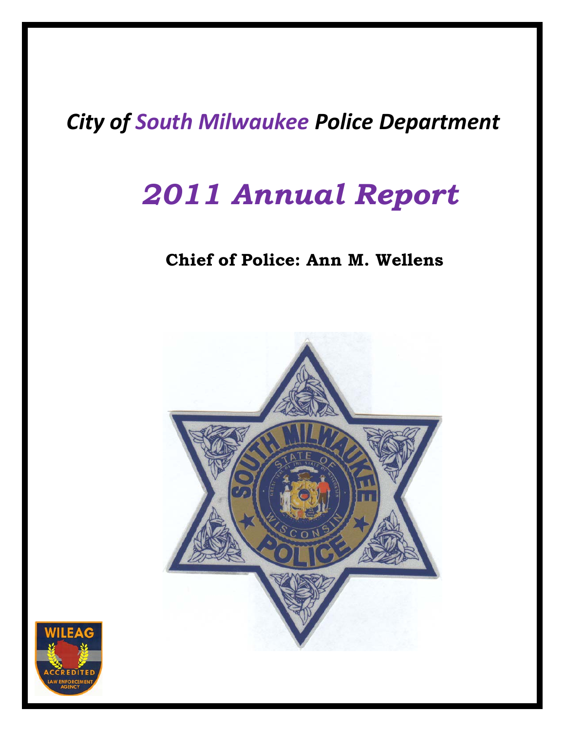# *City of South Milwaukee Police Department*

# *2011 Annual Report*

# **Chief of Police: Ann M. Wellens**



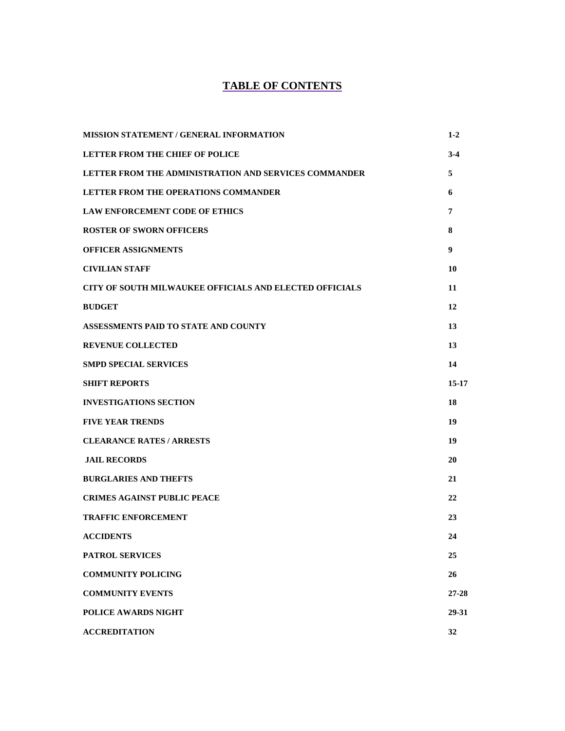#### **TABLE OF CONTENTS**

| <b>MISSION STATEMENT / GENERAL INFORMATION</b>                 | $1-2$   |
|----------------------------------------------------------------|---------|
| <b>LETTER FROM THE CHIEF OF POLICE</b>                         | $3-4$   |
| LETTER FROM THE ADMINISTRATION AND SERVICES COMMANDER          | 5       |
| <b>LETTER FROM THE OPERATIONS COMMANDER</b>                    | 6       |
| LAW ENFORCEMENT CODE OF ETHICS                                 | 7       |
| <b>ROSTER OF SWORN OFFICERS</b>                                | 8       |
| <b>OFFICER ASSIGNMENTS</b>                                     | 9       |
| <b>CIVILIAN STAFF</b>                                          | 10      |
| <b>CITY OF SOUTH MILWAUKEE OFFICIALS AND ELECTED OFFICIALS</b> | 11      |
| <b>BUDGET</b>                                                  | 12      |
| ASSESSMENTS PAID TO STATE AND COUNTY                           | 13      |
| <b>REVENUE COLLECTED</b>                                       | 13      |
| <b>SMPD SPECIAL SERVICES</b>                                   | 14      |
| <b>SHIFT REPORTS</b>                                           | $15-17$ |
| <b>INVESTIGATIONS SECTION</b>                                  | 18      |
| <b>FIVE YEAR TRENDS</b>                                        | 19      |
| <b>CLEARANCE RATES / ARRESTS</b>                               | 19      |
| <b>JAIL RECORDS</b>                                            | 20      |
| <b>BURGLARIES AND THEFTS</b>                                   | 21      |
| <b>CRIMES AGAINST PUBLIC PEACE</b>                             | 22      |
| <b>TRAFFIC ENFORCEMENT</b>                                     | 23      |
| <b>ACCIDENTS</b>                                               | 24      |
| <b>PATROL SERVICES</b>                                         | 25      |
| <b>COMMUNITY POLICING</b>                                      | 26      |
| <b>COMMUNITY EVENTS</b>                                        | 27-28   |
| <b>POLICE AWARDS NIGHT</b>                                     | 29-31   |
| <b>ACCREDITATION</b>                                           | 32      |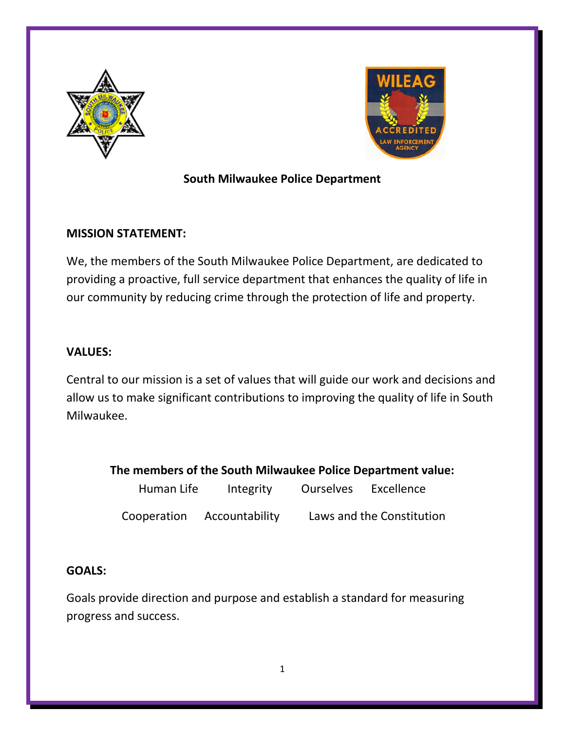



### **South Milwaukee Police Department**

#### **MISSION STATEMENT:**

We, the members of the South Milwaukee Police Department, are dedicated to providing a proactive, full service department that enhances the quality of life in our community by reducing crime through the protection of life and property.

#### **VALUES:**

Central to our mission is a set of values that will guide our work and decisions and allow us to make significant contributions to improving the quality of life in South Milwaukee.

**The members of the South Milwaukee Police Department value:** 

| Human Life  | Integrity      | <b>Ourselves</b> | Excellence                |
|-------------|----------------|------------------|---------------------------|
| Cooperation | Accountability |                  | Laws and the Constitution |

#### **GOALS:**

Goals provide direction and purpose and establish a standard for measuring progress and success.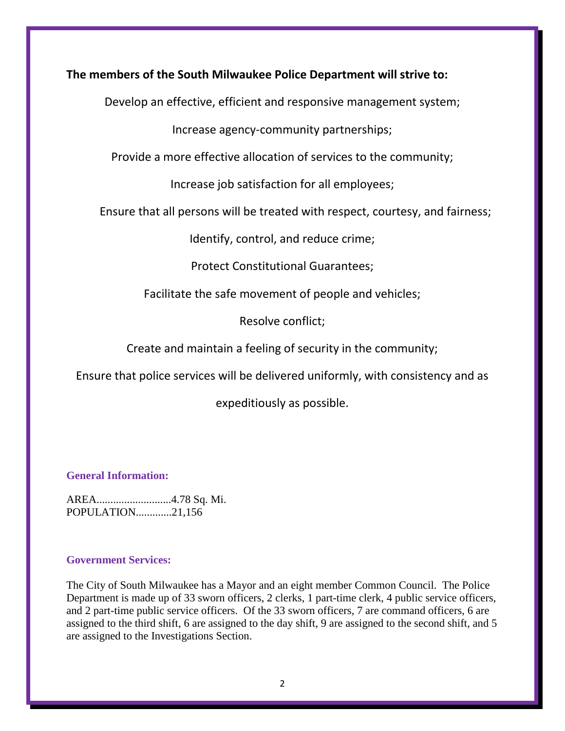#### **The members of the South Milwaukee Police Department will strive to:**

Develop an effective, efficient and responsive management system;

Increase agency-community partnerships;

Provide a more effective allocation of services to the community;

Increase job satisfaction for all employees;

Ensure that all persons will be treated with respect, courtesy, and fairness;

Identify, control, and reduce crime;

Protect Constitutional Guarantees;

Facilitate the safe movement of people and vehicles;

Resolve conflict;

Create and maintain a feeling of security in the community;

Ensure that police services will be delivered uniformly, with consistency and as

expeditiously as possible.

#### **General Information:**

AREA...........................4.78 Sq. Mi. POPULATION.............21,156

#### **Government Services:**

The City of South Milwaukee has a Mayor and an eight member Common Council. The Police Department is made up of 33 sworn officers, 2 clerks, 1 part-time clerk, 4 public service officers, and 2 part-time public service officers. Of the 33 sworn officers, 7 are command officers, 6 are assigned to the third shift, 6 are assigned to the day shift, 9 are assigned to the second shift, and 5 are assigned to the Investigations Section.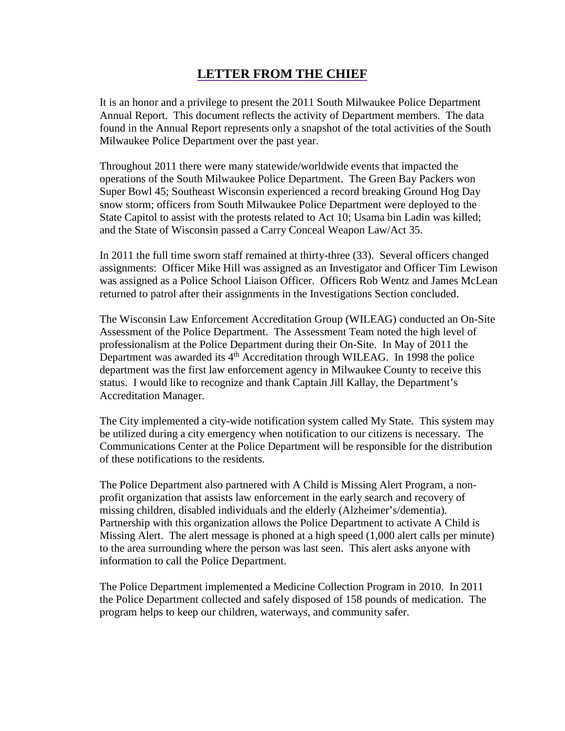### **LETTER FROM THE CHIEF**

It is an honor and a privilege to present the 2011 South Milwaukee Police Department Annual Report. This document reflects the activity of Department members. The data found in the Annual Report represents only a snapshot of the total activities of the South Milwaukee Police Department over the past year.

Throughout 2011 there were many statewide/worldwide events that impacted the operations of the South Milwaukee Police Department. The Green Bay Packers won Super Bowl 45; Southeast Wisconsin experienced a record breaking Ground Hog Day snow storm; officers from South Milwaukee Police Department were deployed to the State Capitol to assist with the protests related to Act 10; Usama bin Ladin was killed; and the State of Wisconsin passed a Carry Conceal Weapon Law/Act 35.

In 2011 the full time sworn staff remained at thirty-three (33). Several officers changed assignments: Officer Mike Hill was assigned as an Investigator and Officer Tim Lewison was assigned as a Police School Liaison Officer. Officers Rob Wentz and James McLean returned to patrol after their assignments in the Investigations Section concluded.

The Wisconsin Law Enforcement Accreditation Group (WILEAG) conducted an On-Site Assessment of the Police Department. The Assessment Team noted the high level of professionalism at the Police Department during their On-Site. In May of 2011 the Department was awarded its  $4<sup>th</sup>$  Accreditation through WILEAG. In 1998 the police department was the first law enforcement agency in Milwaukee County to receive this status. I would like to recognize and thank Captain Jill Kallay, the Department's Accreditation Manager.

The City implemented a city-wide notification system called My State. This system may be utilized during a city emergency when notification to our citizens is necessary. The Communications Center at the Police Department will be responsible for the distribution of these notifications to the residents.

The Police Department also partnered with A Child is Missing Alert Program, a nonprofit organization that assists law enforcement in the early search and recovery of missing children, disabled individuals and the elderly (Alzheimer's/dementia). Partnership with this organization allows the Police Department to activate A Child is Missing Alert. The alert message is phoned at a high speed (1,000 alert calls per minute) to the area surrounding where the person was last seen. This alert asks anyone with information to call the Police Department.

The Police Department implemented a Medicine Collection Program in 2010. In 2011 the Police Department collected and safely disposed of 158 pounds of medication. The program helps to keep our children, waterways, and community safer.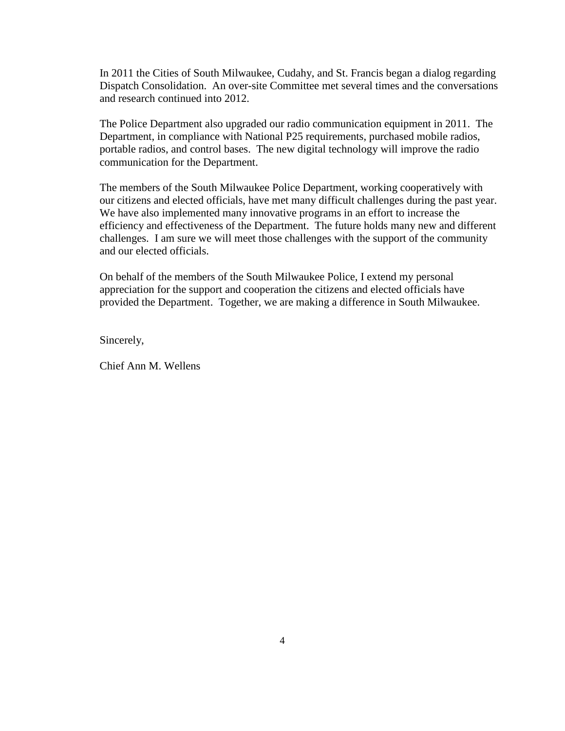In 2011 the Cities of South Milwaukee, Cudahy, and St. Francis began a dialog regarding Dispatch Consolidation. An over-site Committee met several times and the conversations and research continued into 2012.

The Police Department also upgraded our radio communication equipment in 2011. The Department, in compliance with National P25 requirements, purchased mobile radios, portable radios, and control bases. The new digital technology will improve the radio communication for the Department.

The members of the South Milwaukee Police Department, working cooperatively with our citizens and elected officials, have met many difficult challenges during the past year. We have also implemented many innovative programs in an effort to increase the efficiency and effectiveness of the Department. The future holds many new and different challenges. I am sure we will meet those challenges with the support of the community and our elected officials.

On behalf of the members of the South Milwaukee Police, I extend my personal appreciation for the support and cooperation the citizens and elected officials have provided the Department. Together, we are making a difference in South Milwaukee.

Sincerely,

Chief Ann M. Wellens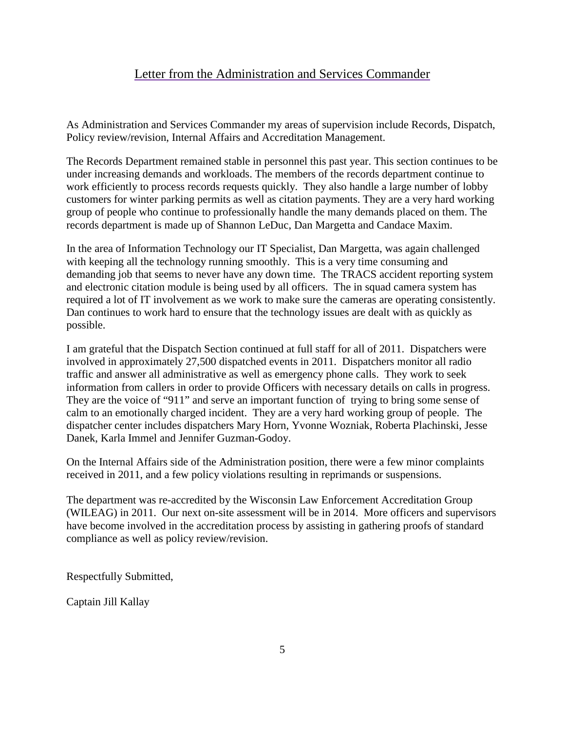#### Letter from the Administration and Services Commander

As Administration and Services Commander my areas of supervision include Records, Dispatch, Policy review/revision, Internal Affairs and Accreditation Management.

The Records Department remained stable in personnel this past year. This section continues to be under increasing demands and workloads. The members of the records department continue to work efficiently to process records requests quickly. They also handle a large number of lobby customers for winter parking permits as well as citation payments. They are a very hard working group of people who continue to professionally handle the many demands placed on them. The records department is made up of Shannon LeDuc, Dan Margetta and Candace Maxim.

In the area of Information Technology our IT Specialist, Dan Margetta, was again challenged with keeping all the technology running smoothly. This is a very time consuming and demanding job that seems to never have any down time. The TRACS accident reporting system and electronic citation module is being used by all officers. The in squad camera system has required a lot of IT involvement as we work to make sure the cameras are operating consistently. Dan continues to work hard to ensure that the technology issues are dealt with as quickly as possible.

I am grateful that the Dispatch Section continued at full staff for all of 2011. Dispatchers were involved in approximately 27,500 dispatched events in 2011. Dispatchers monitor all radio traffic and answer all administrative as well as emergency phone calls. They work to seek information from callers in order to provide Officers with necessary details on calls in progress. They are the voice of "911" and serve an important function of trying to bring some sense of calm to an emotionally charged incident. They are a very hard working group of people. The dispatcher center includes dispatchers Mary Horn, Yvonne Wozniak, Roberta Plachinski, Jesse Danek, Karla Immel and Jennifer Guzman-Godoy.

On the Internal Affairs side of the Administration position, there were a few minor complaints received in 2011, and a few policy violations resulting in reprimands or suspensions.

The department was re-accredited by the Wisconsin Law Enforcement Accreditation Group (WILEAG) in 2011. Our next on-site assessment will be in 2014. More officers and supervisors have become involved in the accreditation process by assisting in gathering proofs of standard compliance as well as policy review/revision.

Respectfully Submitted,

Captain Jill Kallay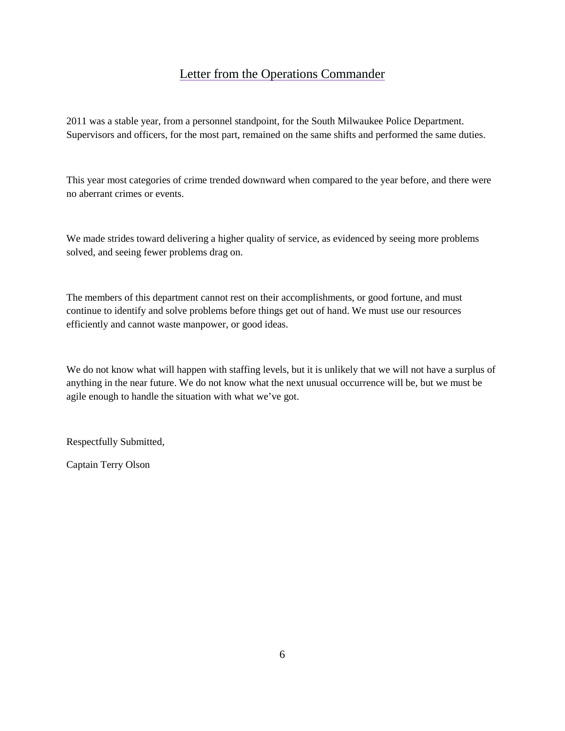#### Letter from the Operations Commander

2011 was a stable year, from a personnel standpoint, for the South Milwaukee Police Department. Supervisors and officers, for the most part, remained on the same shifts and performed the same duties.

This year most categories of crime trended downward when compared to the year before, and there were no aberrant crimes or events.

We made strides toward delivering a higher quality of service, as evidenced by seeing more problems solved, and seeing fewer problems drag on.

The members of this department cannot rest on their accomplishments, or good fortune, and must continue to identify and solve problems before things get out of hand. We must use our resources efficiently and cannot waste manpower, or good ideas.

We do not know what will happen with staffing levels, but it is unlikely that we will not have a surplus of anything in the near future. We do not know what the next unusual occurrence will be, but we must be agile enough to handle the situation with what we've got.

Respectfully Submitted,

Captain Terry Olson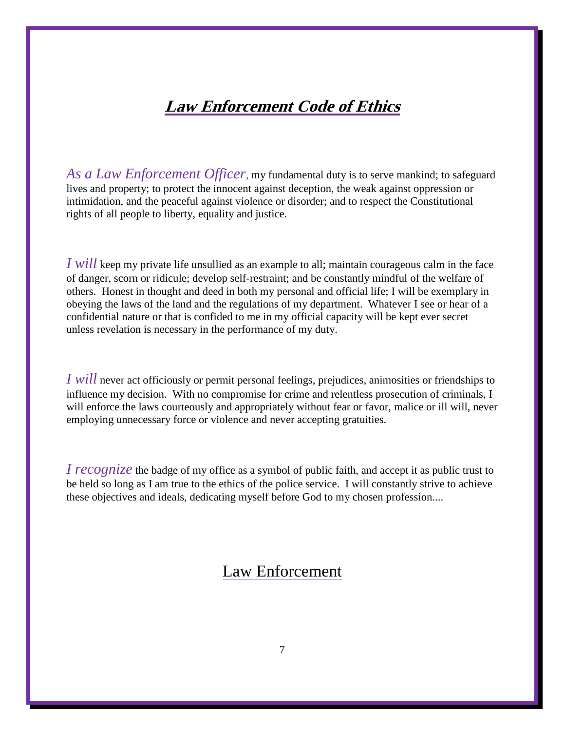# **Law Enforcement Code of Ethics**

*As a Law Enforcement Officer*, my fundamental duty is to serve mankind; to safeguard lives and property; to protect the innocent against deception, the weak against oppression or intimidation, and the peaceful against violence or disorder; and to respect the Constitutional rights of all people to liberty, equality and justice.

*I will* keep my private life unsullied as an example to all; maintain courageous calm in the face of danger, scorn or ridicule; develop self-restraint; and be constantly mindful of the welfare of others. Honest in thought and deed in both my personal and official life; I will be exemplary in obeying the laws of the land and the regulations of my department. Whatever I see or hear of a confidential nature or that is confided to me in my official capacity will be kept ever secret unless revelation is necessary in the performance of my duty.

*I will* never act officiously or permit personal feelings, prejudices, animosities or friendships to influence my decision. With no compromise for crime and relentless prosecution of criminals, I will enforce the laws courteously and appropriately without fear or favor, malice or ill will, never employing unnecessary force or violence and never accepting gratuities.

*I recognize* the badge of my office as a symbol of public faith, and accept it as public trust to be held so long as I am true to the ethics of the police service. I will constantly strive to achieve these objectives and ideals, dedicating myself before God to my chosen profession....

# Law Enforcement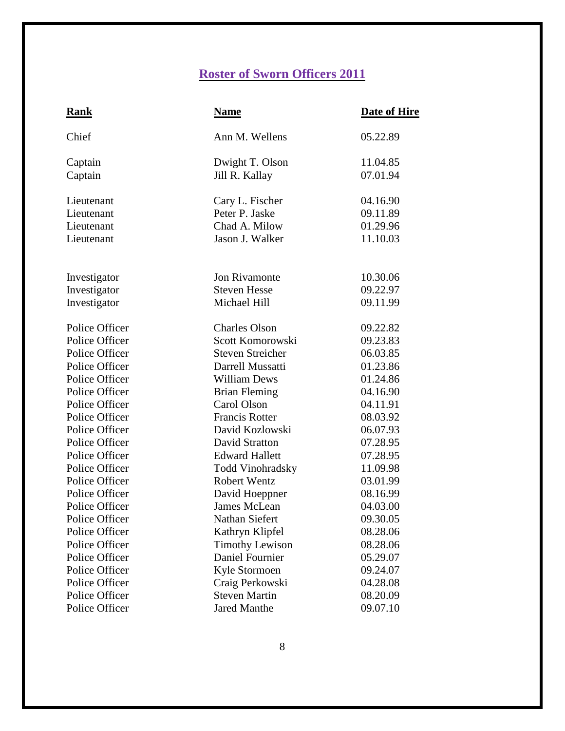# **Roster of Sworn Officers 2011**

| Rank           | <b>Name</b>             | Date of Hire |
|----------------|-------------------------|--------------|
| Chief          | Ann M. Wellens          | 05.22.89     |
| Captain        | Dwight T. Olson         | 11.04.85     |
| Captain        | Jill R. Kallay          | 07.01.94     |
| Lieutenant     | Cary L. Fischer         | 04.16.90     |
| Lieutenant     | Peter P. Jaske          | 09.11.89     |
| Lieutenant     | Chad A. Milow           | 01.29.96     |
| Lieutenant     | Jason J. Walker         | 11.10.03     |
|                |                         |              |
| Investigator   | Jon Rivamonte           | 10.30.06     |
| Investigator   | <b>Steven Hesse</b>     | 09.22.97     |
| Investigator   | Michael Hill            | 09.11.99     |
| Police Officer | <b>Charles Olson</b>    | 09.22.82     |
| Police Officer | Scott Komorowski        | 09.23.83     |
| Police Officer | <b>Steven Streicher</b> | 06.03.85     |
| Police Officer | Darrell Mussatti        | 01.23.86     |
| Police Officer | <b>William Dews</b>     | 01.24.86     |
| Police Officer | <b>Brian Fleming</b>    | 04.16.90     |
| Police Officer | Carol Olson             | 04.11.91     |
| Police Officer | <b>Francis Rotter</b>   | 08.03.92     |
| Police Officer | David Kozlowski         | 06.07.93     |
| Police Officer | David Stratton          | 07.28.95     |
| Police Officer | <b>Edward Hallett</b>   | 07.28.95     |
| Police Officer | Todd Vinohradsky        | 11.09.98     |
| Police Officer | <b>Robert Wentz</b>     | 03.01.99     |
| Police Officer | David Hoeppner          | 08.16.99     |
| Police Officer | James McLean            | 04.03.00     |
| Police Officer | Nathan Siefert          | 09.30.05     |
| Police Officer | Kathryn Klipfel         | 08.28.06     |
| Police Officer | <b>Timothy Lewison</b>  | 08.28.06     |
| Police Officer | Daniel Fournier         | 05.29.07     |
| Police Officer | Kyle Stormoen           | 09.24.07     |
| Police Officer | Craig Perkowski         | 04.28.08     |
| Police Officer | <b>Steven Martin</b>    | 08.20.09     |
| Police Officer | <b>Jared Manthe</b>     | 09.07.10     |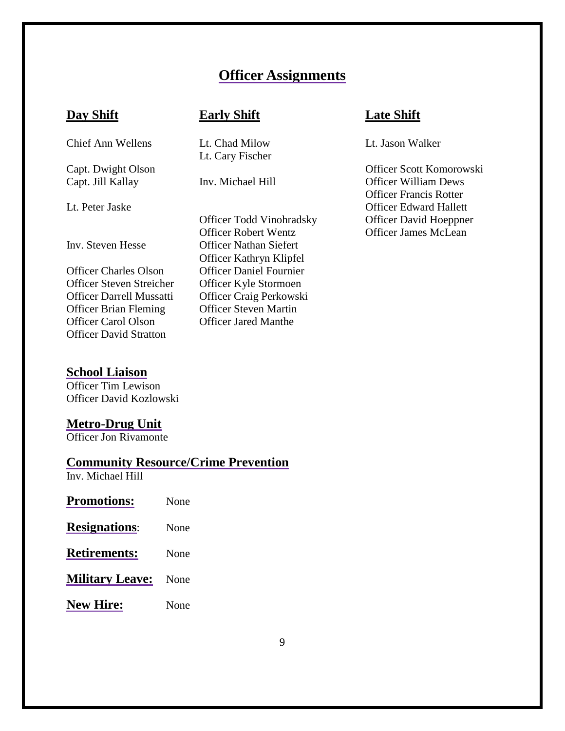# **Officer Assignments**

Chief Ann Wellens Lt. Chad Milow Lt. Jason Walker

Officer Steven Streicher Officer Kyle Stormoen Officer Brian Fleming Officer Steven Martin<br>Officer Carol Olson Officer Jared Manthe Officer Carol Olson Officer David Stratton

#### **School Liaison**

Officer Tim Lewison Officer David Kozlowski

#### **Metro-Drug Unit**

Officer Jon Rivamonte

#### **Community Resource/Crime Prevention**

Inv. Michael Hill

| <b>Promotions:</b>     | None |
|------------------------|------|
| <b>Resignations:</b>   | None |
| <b>Retirements:</b>    | None |
| <b>Military Leave:</b> | None |
| <b>New Hire:</b>       | None |

Lt. Cary Fischer

Officer Robert Wentz Officer James McLean Inv. Steven Hesse Officer Nathan Siefert Officer Kathryn Klipfel Officer Charles Olson Officer Daniel Fournier Officer Darrell Mussatti Officer Craig Perkowski

#### **Day Shift Early Shift Late Shift**

Capt. Dwight Olson Officer Scott Komorowski Capt. Jill Kallay Inv. Michael Hill Officer William Dews Officer Francis Rotter Lt. Peter Jaske Officer Edward Hallett Officer Todd Vinohradsky Officer David Hoeppner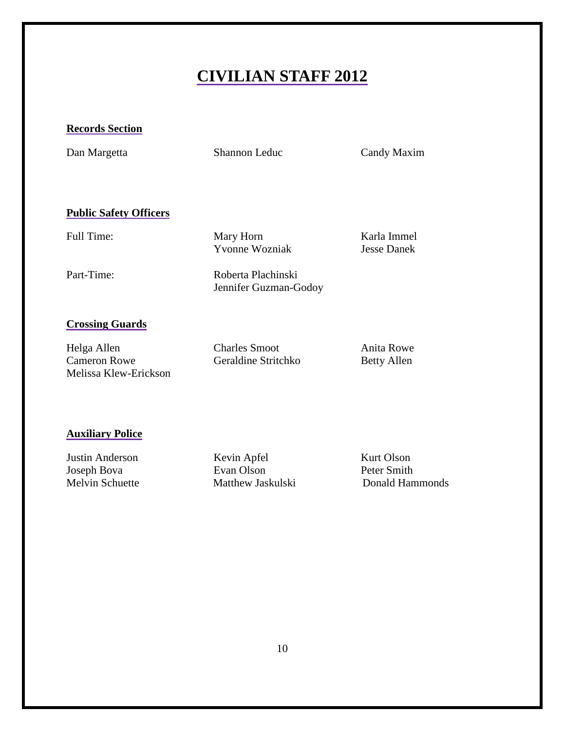# **CIVILIAN STAFF 2012**

#### **Records Section**

Dan Margetta Shannon Leduc Candy Maxim

#### **Public Safety Officers**

Full Time: Mary Horn Karla Immel Yvonne Wozniak Jesse Danek

Part-Time: Roberta Plachinski

Jennifer Guzman-Godoy

#### **Crossing Guards**

| Helga Allen           | <b>Charles Smoot</b> | Anita Rowe         |
|-----------------------|----------------------|--------------------|
| <b>Cameron Rowe</b>   | Geraldine Stritchko  | <b>Betty Allen</b> |
| Melissa Klew-Erickson |                      |                    |

#### **Auxiliary Police**

Justin Anderson Kevin Apfel Kurt Olson<br>
Joseph Bova Evan Olson Peter Smith Joseph Bova<br>
Melvin Schuette Matthew Jaskulski

Donald Hammonds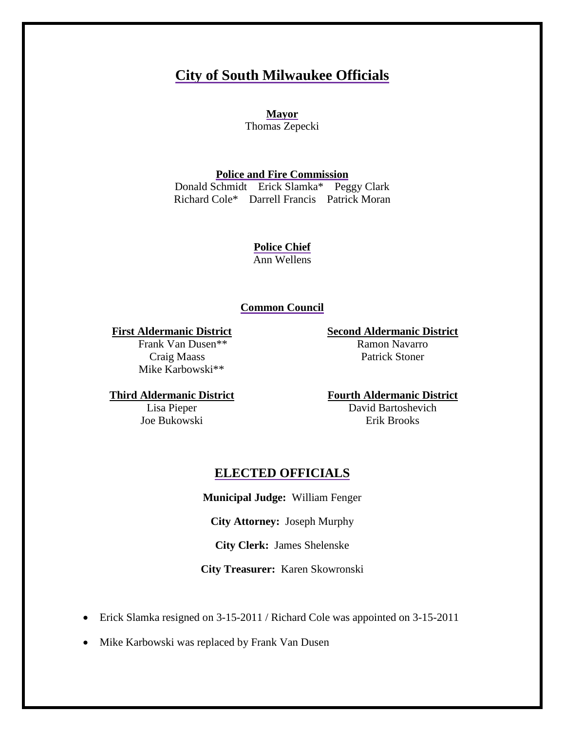# **City of South Milwaukee Officials**

**Mayor** Thomas Zepecki

**Police and Fire Commission**

Donald Schmidt Erick Slamka\* Peggy Clark Richard Cole\* Darrell Francis Patrick Moran

> **Police Chief** Ann Wellens

#### **Common Council**

#### **First Aldermanic District**

 Frank Van Dusen\*\* Craig Maass Mike Karbowski\*\*

**Second Aldermanic District**

Ramon Navarro Patrick Stoner

**Third Aldermanic District**

Lisa Pieper Joe Bukowski **Fourth Aldermanic District**

David Bartoshevich Erik Brooks

#### **ELECTED OFFICIALS**

**Municipal Judge:** William Fenger

**City Attorney:** Joseph Murphy

**City Clerk:** James Shelenske

**City Treasurer:** Karen Skowronski

- Erick Slamka resigned on 3-15-2011 / Richard Cole was appointed on 3-15-2011
- Mike Karbowski was replaced by Frank Van Dusen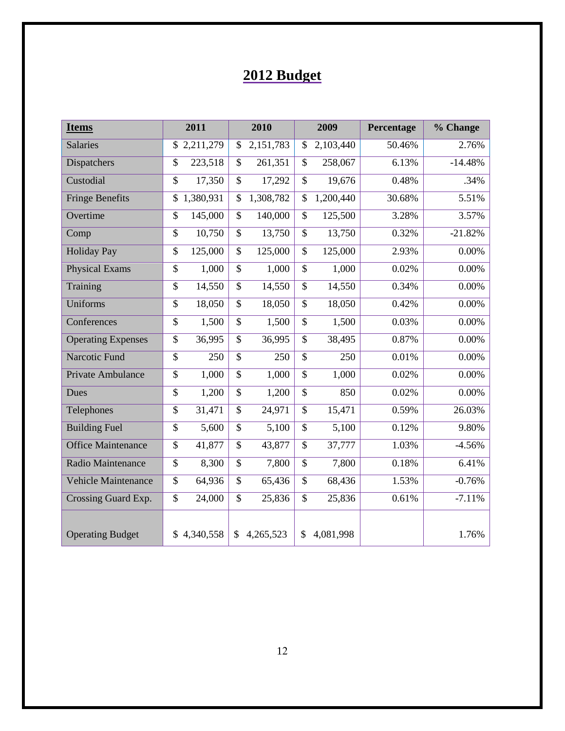# **2012 Budget**

| <b>Items</b>               |                 | 2011        |                          | 2010      |                 | 2009      | Percentage | % Change  |
|----------------------------|-----------------|-------------|--------------------------|-----------|-----------------|-----------|------------|-----------|
| <b>Salaries</b>            |                 | \$2,211,279 | \$                       | 2,151,783 | \$              | 2,103,440 | 50.46%     | 2.76%     |
| Dispatchers                | \$              | 223,518     | \$                       | 261,351   | \$              | 258,067   | 6.13%      | $-14.48%$ |
| Custodial                  | $\overline{\$}$ | 17,350      | $\overline{\mathcal{S}}$ | 17,292    | $\overline{\$}$ | 19,676    | 0.48%      | .34%      |
| <b>Fringe Benefits</b>     | \$              | 1,380,931   | \$                       | 1,308,782 | \$              | 1,200,440 | 30.68%     | 5.51%     |
| Overtime                   | \$              | 145,000     | $\mathcal{S}$            | 140,000   | \$              | 125,500   | 3.28%      | 3.57%     |
| Comp                       | $\overline{\$}$ | 10,750      | \$                       | 13,750    | \$              | 13,750    | 0.32%      | $-21.82%$ |
| <b>Holiday Pay</b>         | \$              | 125,000     | $\mathcal{S}$            | 125,000   | \$              | 125,000   | 2.93%      | 0.00%     |
| <b>Physical Exams</b>      | $\overline{\$}$ | 1,000       | $\mathcal{S}$            | 1,000     | \$              | 1,000     | 0.02%      | $0.00\%$  |
| Training                   | \$              | 14,550      | \$                       | 14,550    | \$              | 14,550    | 0.34%      | 0.00%     |
| Uniforms                   | $\overline{\$}$ | 18,050      | $\mathcal{S}$            | 18,050    | \$              | 18,050    | 0.42%      | 0.00%     |
| Conferences                | $\overline{\$}$ | 1,500       | $\overline{\mathcal{S}}$ | 1,500     | $\mathcal{S}$   | 1,500     | 0.03%      | $0.00\%$  |
| <b>Operating Expenses</b>  | $\overline{\$}$ | 36,995      | $\overline{\mathcal{S}}$ | 36,995    | \$              | 38,495    | 0.87%      | 0.00%     |
| Narcotic Fund              | $\overline{\$}$ | 250         | $\overline{\$}$          | 250       | \$              | 250       | 0.01%      | 0.00%     |
| Private Ambulance          | $\overline{\$}$ | 1,000       | $\overline{\mathcal{S}}$ | 1,000     | \$              | 1,000     | 0.02%      | 0.00%     |
| Dues                       | \$              | 1,200       | $\mathbb{S}$             | 1,200     | \$              | 850       | 0.02%      | 0.00%     |
| Telephones                 | \$              | 31,471      | \$                       | 24,971    | \$              | 15,471    | 0.59%      | 26.03%    |
| <b>Building Fuel</b>       | $\overline{\$}$ | 5,600       | $\mathcal{S}$            | 5,100     | \$              | 5,100     | 0.12%      | 9.80%     |
| <b>Office Maintenance</b>  | \$              | 41,877      | \$                       | 43,877    | \$              | 37,777    | 1.03%      | $-4.56%$  |
| Radio Maintenance          | \$              | 8,300       | \$                       | 7,800     | \$              | 7,800     | 0.18%      | 6.41%     |
| <b>Vehicle Maintenance</b> | \$              | 64,936      | \$                       | 65,436    | \$              | 68,436    | 1.53%      | $-0.76%$  |
| Crossing Guard Exp.        | $\overline{\$}$ | 24,000      | $\overline{\mathcal{S}}$ | 25,836    | $\overline{\$}$ | 25,836    | 0.61%      | $-7.11%$  |
|                            |                 |             |                          |           |                 |           |            |           |
| <b>Operating Budget</b>    |                 | \$4,340,558 | $\mathcal{S}$            | 4,265,523 | \$              | 4,081,998 |            | 1.76%     |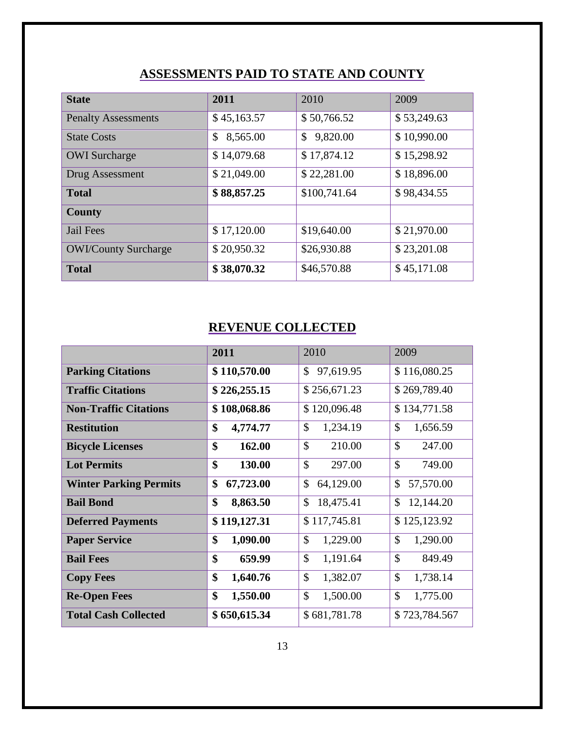# **ASSESSMENTS PAID TO STATE AND COUNTY**

| <b>State</b>                | 2011           | 2010                     | 2009        |
|-----------------------------|----------------|--------------------------|-------------|
| <b>Penalty Assessments</b>  | \$45,163.57    | \$50,766.52              | \$53,249.63 |
| <b>State Costs</b>          | \$<br>8,565.00 | $\mathbb{S}$<br>9,820.00 | \$10,990.00 |
| <b>OWI</b> Surcharge        | \$14,079.68    | \$17,874.12              | \$15,298.92 |
| Drug Assessment             | \$21,049.00    | \$22,281.00              | \$18,896.00 |
| <b>Total</b>                | \$88,857.25    | \$100,741.64             | \$98,434.55 |
| <b>County</b>               |                |                          |             |
| Jail Fees                   | \$17,120.00    | \$19,640.00              | \$21,970.00 |
| <b>OWI/County Surcharge</b> | \$20,950.32    | \$26,930.88              | \$23,201.08 |
| <b>Total</b>                | \$38,070.32    | \$46,570.88              | \$45,171.08 |

# **REVENUE COLLECTED**

|                               | 2011         | 2010            | 2009          |
|-------------------------------|--------------|-----------------|---------------|
| <b>Parking Citations</b>      | \$110,570.00 | \$<br>97,619.95 | \$116,080.25  |
| <b>Traffic Citations</b>      | \$226,255.15 | \$256,671.23    | \$269,789.40  |
| <b>Non-Traffic Citations</b>  | \$108,068.86 | \$120,096.48    | \$134,771.58  |
| <b>Restitution</b>            | \$           | \$              | \$            |
|                               | 4,774.77     | 1,234.19        | 1,656.59      |
| <b>Bicycle Licenses</b>       | \$           | $\mathcal{S}$   | \$            |
|                               | 162.00       | 210.00          | 247.00        |
| <b>Lot Permits</b>            | \$           | $\mathcal{S}$   | \$            |
|                               | 130.00       | 297.00          | 749.00        |
| <b>Winter Parking Permits</b> | \$           | \$              | \$            |
|                               | 67,723.00    | 64,129.00       | 57,570.00     |
| <b>Bail Bond</b>              | \$           | \$              | \$            |
|                               | 8,863.50     | 18,475.41       | 12,144.20     |
| <b>Deferred Payments</b>      | \$119,127.31 | \$117,745.81    | \$125,123.92  |
| <b>Paper Service</b>          | \$           | $\mathcal{S}$   | \$            |
|                               | 1,090.00     | 1,229.00        | 1,290.00      |
| <b>Bail Fees</b>              | \$           | \$              | \$            |
|                               | 659.99       | 1,191.64        | 849.49        |
| <b>Copy Fees</b>              | \$           | \$              | \$            |
|                               | 1,640.76     | 1,382.07        | 1,738.14      |
| <b>Re-Open Fees</b>           | \$           | \$              | \$            |
|                               | 1,550.00     | 1,500.00        | 1,775.00      |
| <b>Total Cash Collected</b>   | \$650,615.34 | \$681,781.78    | \$723,784.567 |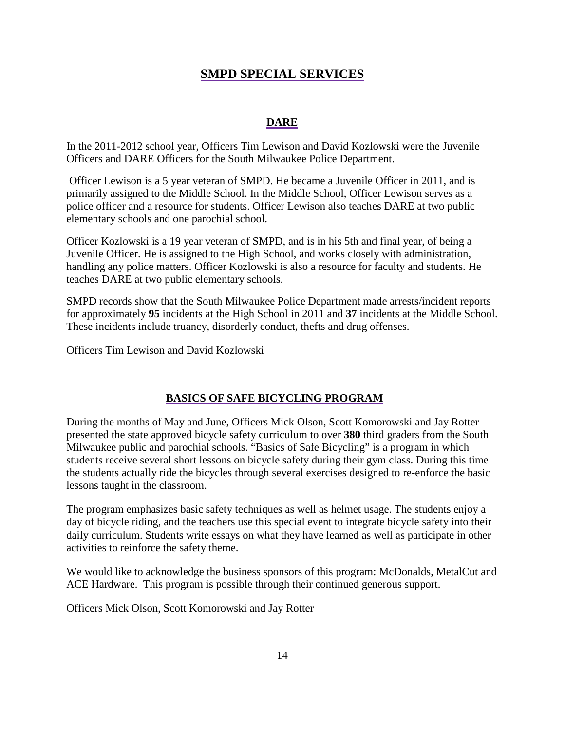#### **SMPD SPECIAL SERVICES**

#### **DARE**

In the 2011-2012 school year, Officers Tim Lewison and David Kozlowski were the Juvenile Officers and DARE Officers for the South Milwaukee Police Department.

Officer Lewison is a 5 year veteran of SMPD. He became a Juvenile Officer in 2011, and is primarily assigned to the Middle School. In the Middle School, Officer Lewison serves as a police officer and a resource for students. Officer Lewison also teaches DARE at two public elementary schools and one parochial school.

Officer Kozlowski is a 19 year veteran of SMPD, and is in his 5th and final year, of being a Juvenile Officer. He is assigned to the High School, and works closely with administration, handling any police matters. Officer Kozlowski is also a resource for faculty and students. He teaches DARE at two public elementary schools.

SMPD records show that the South Milwaukee Police Department made arrests/incident reports for approximately **95** incidents at the High School in 2011 and **37** incidents at the Middle School. These incidents include truancy, disorderly conduct, thefts and drug offenses.

Officers Tim Lewison and David Kozlowski

#### **BASICS OF SAFE BICYCLING PROGRAM**

During the months of May and June, Officers Mick Olson, Scott Komorowski and Jay Rotter presented the state approved bicycle safety curriculum to over **380** third graders from the South Milwaukee public and parochial schools. "Basics of Safe Bicycling" is a program in which students receive several short lessons on bicycle safety during their gym class. During this time the students actually ride the bicycles through several exercises designed to re-enforce the basic lessons taught in the classroom.

The program emphasizes basic safety techniques as well as helmet usage. The students enjoy a day of bicycle riding, and the teachers use this special event to integrate bicycle safety into their daily curriculum. Students write essays on what they have learned as well as participate in other activities to reinforce the safety theme.

We would like to acknowledge the business sponsors of this program: McDonalds, MetalCut and ACE Hardware. This program is possible through their continued generous support.

Officers Mick Olson, Scott Komorowski and Jay Rotter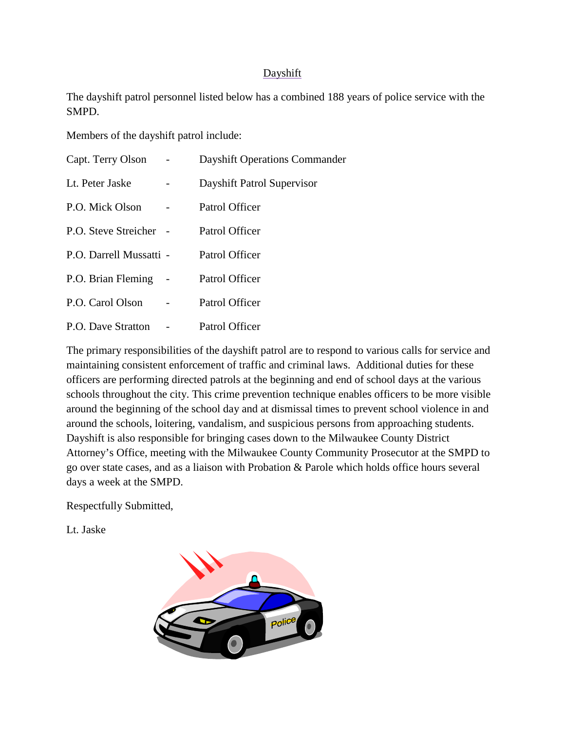#### **Dayshift**

The dayshift patrol personnel listed below has a combined 188 years of police service with the SMPD.

Members of the dayshift patrol include:

| Capt. Terry Olson         | <b>Dayshift Operations Commander</b> |
|---------------------------|--------------------------------------|
| Lt. Peter Jaske           | Dayshift Patrol Supervisor           |
| P.O. Mick Olson           | Patrol Officer                       |
| P.O. Steve Streicher -    | Patrol Officer                       |
| P.O. Darrell Mussatti -   | Patrol Officer                       |
| P.O. Brian Fleming        | Patrol Officer                       |
| P.O. Carol Olson          | Patrol Officer                       |
| <b>P.O.</b> Dave Stratton | Patrol Officer                       |

The primary responsibilities of the dayshift patrol are to respond to various calls for service and maintaining consistent enforcement of traffic and criminal laws. Additional duties for these officers are performing directed patrols at the beginning and end of school days at the various schools throughout the city. This crime prevention technique enables officers to be more visible around the beginning of the school day and at dismissal times to prevent school violence in and around the schools, loitering, vandalism, and suspicious persons from approaching students. Dayshift is also responsible for bringing cases down to the Milwaukee County District Attorney's Office, meeting with the Milwaukee County Community Prosecutor at the SMPD to go over state cases, and as a liaison with Probation & Parole which holds office hours several days a week at the SMPD.

Respectfully Submitted,

Lt. Jaske

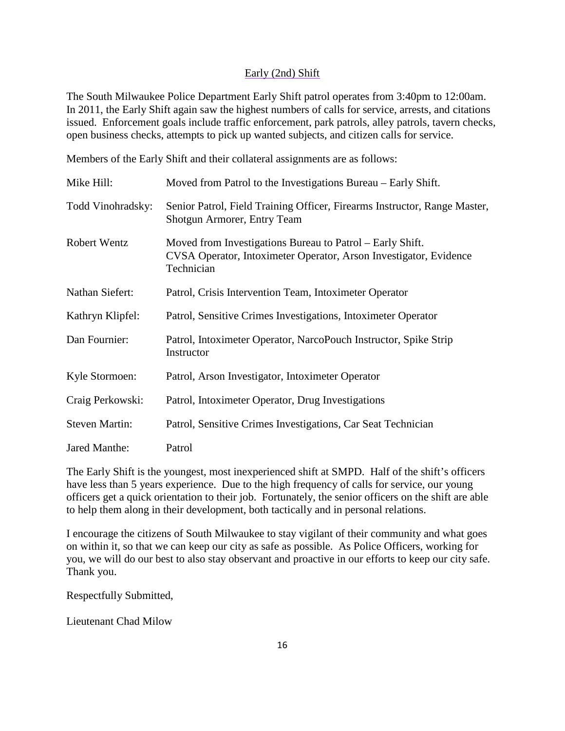#### Early (2nd) Shift

The South Milwaukee Police Department Early Shift patrol operates from 3:40pm to 12:00am. In 2011, the Early Shift again saw the highest numbers of calls for service, arrests, and citations issued. Enforcement goals include traffic enforcement, park patrols, alley patrols, tavern checks, open business checks, attempts to pick up wanted subjects, and citizen calls for service.

Members of the Early Shift and their collateral assignments are as follows:

| Mike Hill:            | Moved from Patrol to the Investigations Bureau – Early Shift.                                                                                |
|-----------------------|----------------------------------------------------------------------------------------------------------------------------------------------|
| Todd Vinohradsky:     | Senior Patrol, Field Training Officer, Firearms Instructor, Range Master,<br>Shotgun Armorer, Entry Team                                     |
| <b>Robert Wentz</b>   | Moved from Investigations Bureau to Patrol – Early Shift.<br>CVSA Operator, Intoximeter Operator, Arson Investigator, Evidence<br>Technician |
| Nathan Siefert:       | Patrol, Crisis Intervention Team, Intoximeter Operator                                                                                       |
| Kathryn Klipfel:      | Patrol, Sensitive Crimes Investigations, Intoximeter Operator                                                                                |
| Dan Fournier:         | Patrol, Intoximeter Operator, NarcoPouch Instructor, Spike Strip<br>Instructor                                                               |
| Kyle Stormoen:        | Patrol, Arson Investigator, Intoximeter Operator                                                                                             |
| Craig Perkowski:      | Patrol, Intoximeter Operator, Drug Investigations                                                                                            |
| <b>Steven Martin:</b> | Patrol, Sensitive Crimes Investigations, Car Seat Technician                                                                                 |
| Jared Manthe:         | Patrol                                                                                                                                       |

The Early Shift is the youngest, most inexperienced shift at SMPD. Half of the shift's officers have less than 5 years experience. Due to the high frequency of calls for service, our young officers get a quick orientation to their job. Fortunately, the senior officers on the shift are able to help them along in their development, both tactically and in personal relations.

I encourage the citizens of South Milwaukee to stay vigilant of their community and what goes on within it, so that we can keep our city as safe as possible. As Police Officers, working for you, we will do our best to also stay observant and proactive in our efforts to keep our city safe. Thank you.

Respectfully Submitted,

Lieutenant Chad Milow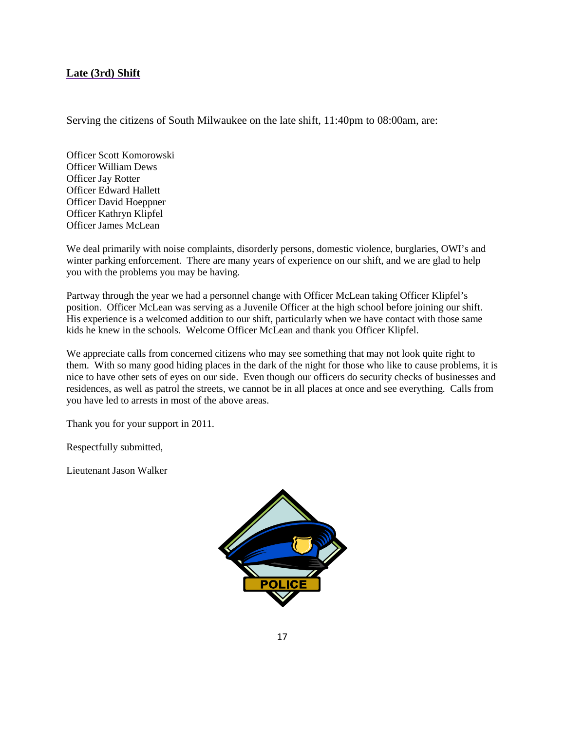#### **Late (3rd) Shift**

Serving the citizens of South Milwaukee on the late shift, 11:40pm to 08:00am, are:

Officer Scott Komorowski Officer William Dews Officer Jay Rotter Officer Edward Hallett Officer David Hoeppner Officer Kathryn Klipfel Officer James McLean

We deal primarily with noise complaints, disorderly persons, domestic violence, burglaries, OWI's and winter parking enforcement. There are many years of experience on our shift, and we are glad to help you with the problems you may be having.

Partway through the year we had a personnel change with Officer McLean taking Officer Klipfel's position. Officer McLean was serving as a Juvenile Officer at the high school before joining our shift. His experience is a welcomed addition to our shift, particularly when we have contact with those same kids he knew in the schools. Welcome Officer McLean and thank you Officer Klipfel.

We appreciate calls from concerned citizens who may see something that may not look quite right to them. With so many good hiding places in the dark of the night for those who like to cause problems, it is nice to have other sets of eyes on our side. Even though our officers do security checks of businesses and residences, as well as patrol the streets, we cannot be in all places at once and see everything. Calls from you have led to arrests in most of the above areas.

Thank you for your support in 2011.

Respectfully submitted,

Lieutenant Jason Walker

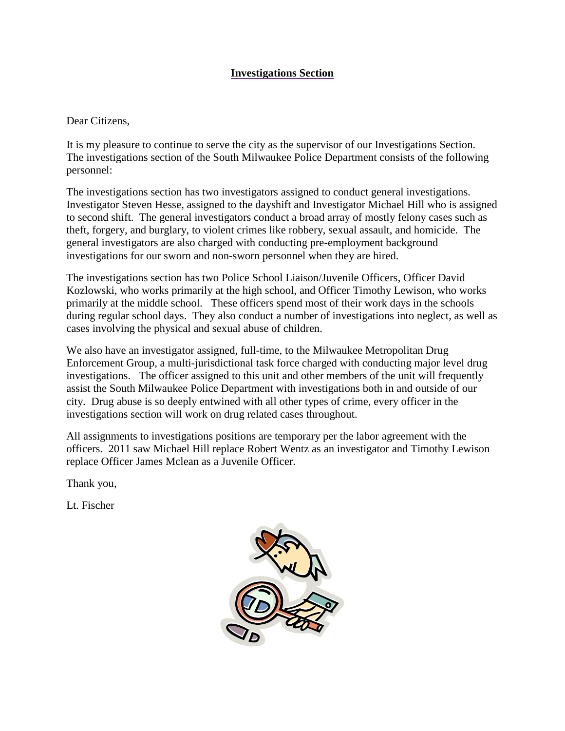#### **Investigations Section**

#### Dear Citizens,

It is my pleasure to continue to serve the city as the supervisor of our Investigations Section. The investigations section of the South Milwaukee Police Department consists of the following personnel:

The investigations section has two investigators assigned to conduct general investigations. Investigator Steven Hesse, assigned to the dayshift and Investigator Michael Hill who is assigned to second shift. The general investigators conduct a broad array of mostly felony cases such as theft, forgery, and burglary, to violent crimes like robbery, sexual assault, and homicide. The general investigators are also charged with conducting pre-employment background investigations for our sworn and non-sworn personnel when they are hired.

The investigations section has two Police School Liaison/Juvenile Officers, Officer David Kozlowski, who works primarily at the high school, and Officer Timothy Lewison, who works primarily at the middle school. These officers spend most of their work days in the schools during regular school days. They also conduct a number of investigations into neglect, as well as cases involving the physical and sexual abuse of children.

We also have an investigator assigned, full-time, to the Milwaukee Metropolitan Drug Enforcement Group, a multi-jurisdictional task force charged with conducting major level drug investigations. The officer assigned to this unit and other members of the unit will frequently assist the South Milwaukee Police Department with investigations both in and outside of our city. Drug abuse is so deeply entwined with all other types of crime, every officer in the investigations section will work on drug related cases throughout.

All assignments to investigations positions are temporary per the labor agreement with the officers. 2011 saw Michael Hill replace Robert Wentz as an investigator and Timothy Lewison replace Officer James Mclean as a Juvenile Officer.

Thank you,

Lt. Fischer

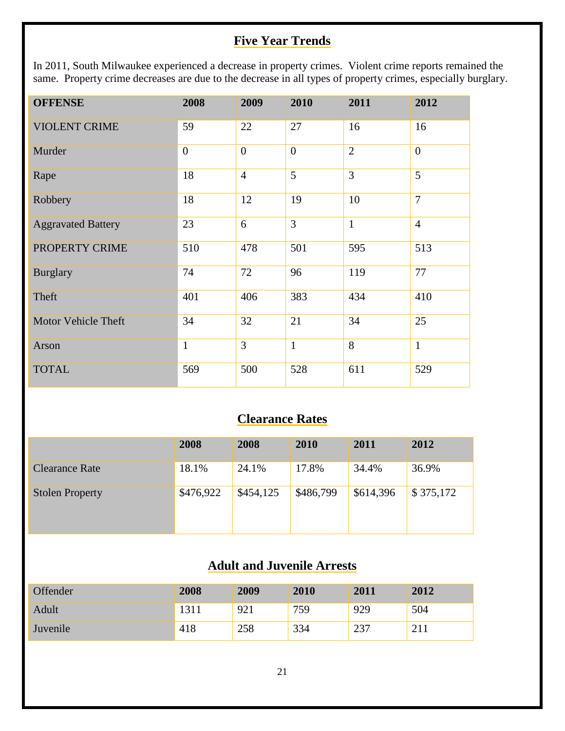# **Five Year Trends**

In 2011, South Milwaukee experienced a decrease in property crimes. Violent crime reports remained the same. Property crime decreases are due to the decrease in all types of property crimes, especially burglary.

| <b>OFFENSE</b>             | 2008           | 2009           | 2010           | 2011           | 2012           |
|----------------------------|----------------|----------------|----------------|----------------|----------------|
| <b>VIOLENT CRIME</b>       | 59             | 22             | 27             | 16             | 16             |
| Murder                     | $\overline{0}$ | $\overline{0}$ | $\overline{0}$ | $\overline{2}$ | $\overline{0}$ |
| Rape                       | 18             | $\overline{4}$ | $\overline{5}$ | $\overline{3}$ | $\overline{5}$ |
| Robbery                    | 18             | 12             | 19             | 10             | $\overline{7}$ |
| <b>Aggravated Battery</b>  | 23             | 6              | $\overline{3}$ | $\mathbf{1}$   | $\overline{4}$ |
| PROPERTY CRIME             | 510            | 478            | 501            | 595            | 513            |
| <b>Burglary</b>            | 74             | 72             | 96             | 119            | 77             |
| Theft                      | 401            | 406            | 383            | 434            | 410            |
| <b>Motor Vehicle Theft</b> | 34             | 32             | 21             | 34             | 25             |
| Arson                      | $\mathbf{1}$   | $\overline{3}$ | $\mathbf{1}$   | 8              | $\mathbf{1}$   |
| <b>TOTAL</b>               | 569            | 500            | 528            | 611            | 529            |

# **Clearance Rates**

|                        | 2008      | 2008      | 2010      | 2011      | 2012      |
|------------------------|-----------|-----------|-----------|-----------|-----------|
| Clearance Rate         | 18.1%     | 24.1%     | 17.8%     | 34.4%     | 36.9%     |
| <b>Stolen Property</b> | \$476,922 | \$454,125 | \$486,799 | \$614,396 | \$375,172 |

# **Adult and Juvenile Arrests**

| Offender | 2008 | 2009 | 2010 | 2011        | 2012       |
|----------|------|------|------|-------------|------------|
| Adult    | 1311 | 921  | 759  | 929         | 504        |
| Juvenile | 418  | 258  | 334  | าวา<br>، پ∠ | $\sim$ 1 1 |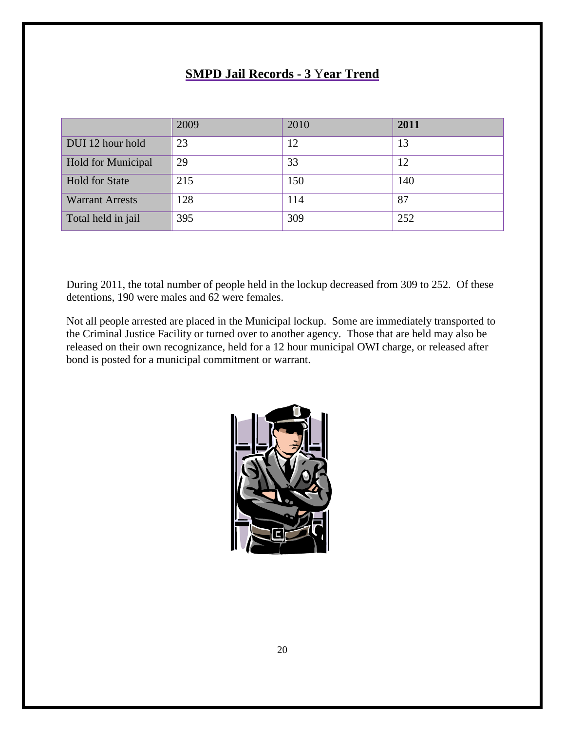## **SMPD Jail Records - 3** Y**ear Trend**

|                        | 2009 | 2010 | 2011 |
|------------------------|------|------|------|
| DUI 12 hour hold       | 23   | 12   | 13   |
| Hold for Municipal     | 29   | 33   | 12   |
| <b>Hold for State</b>  | 215  | 150  | 140  |
| <b>Warrant Arrests</b> | 128  | 114  | 87   |
| Total held in jail     | 395  | 309  | 252  |

During 2011, the total number of people held in the lockup decreased from 309 to 252. Of these detentions, 190 were males and 62 were females.

Not all people arrested are placed in the Municipal lockup. Some are immediately transported to the Criminal Justice Facility or turned over to another agency. Those that are held may also be released on their own recognizance, held for a 12 hour municipal OWI charge, or released after bond is posted for a municipal commitment or warrant.

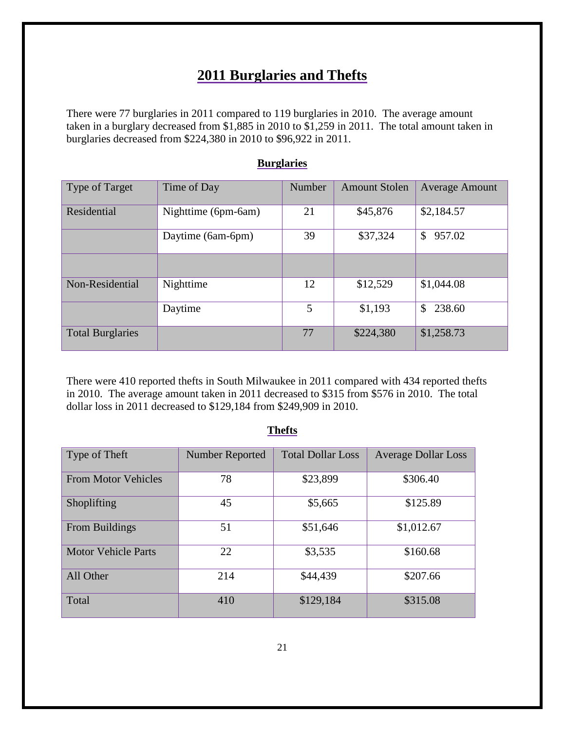# **2011 Burglaries and Thefts**

There were 77 burglaries in 2011 compared to 119 burglaries in 2010. The average amount taken in a burglary decreased from \$1,885 in 2010 to \$1,259 in 2011. The total amount taken in burglaries decreased from \$224,380 in 2010 to \$96,922 in 2011.

| <b>Type of Target</b>   | Time of Day         | Number | <b>Amount Stolen</b> | <b>Average Amount</b> |
|-------------------------|---------------------|--------|----------------------|-----------------------|
|                         |                     |        |                      |                       |
|                         |                     |        |                      |                       |
| Residential             | Nighttime (6pm-6am) | 21     | \$45,876             | \$2,184.57            |
|                         |                     |        |                      |                       |
|                         |                     | 39     | \$37,324             | 957.02<br>\$          |
|                         | Daytime (6am-6pm)   |        |                      |                       |
|                         |                     |        |                      |                       |
|                         |                     |        |                      |                       |
|                         |                     |        |                      |                       |
| Non-Residential         | Nighttime           | 12     | \$12,529             | \$1,044.08            |
|                         |                     |        |                      |                       |
|                         |                     |        |                      |                       |
|                         | Daytime             | 5      | \$1,193              | 238.60<br>\$          |
|                         |                     |        |                      |                       |
|                         |                     |        |                      |                       |
| <b>Total Burglaries</b> |                     | 77     | \$224,380            | \$1,258.73            |
|                         |                     |        |                      |                       |
|                         |                     |        |                      |                       |

#### **Burglaries**

There were 410 reported thefts in South Milwaukee in 2011 compared with 434 reported thefts in 2010. The average amount taken in 2011 decreased to \$315 from \$576 in 2010. The total dollar loss in 2011 decreased to \$129,184 from \$249,909 in 2010.

| Type of Theft              | <b>Number Reported</b> | <b>Total Dollar Loss</b> | <b>Average Dollar Loss</b> |
|----------------------------|------------------------|--------------------------|----------------------------|
| <b>From Motor Vehicles</b> | 78                     | \$23,899                 | \$306.40                   |
| Shoplifting                | 45                     | \$5,665                  | \$125.89                   |
| From Buildings             | 51                     | \$51,646                 | \$1,012.67                 |
| <b>Motor Vehicle Parts</b> | 22                     | \$3,535                  | \$160.68                   |
| All Other                  | 214                    | \$44,439                 | \$207.66                   |
| Total                      | 410                    | \$129,184                | \$315.08                   |

#### **Thefts**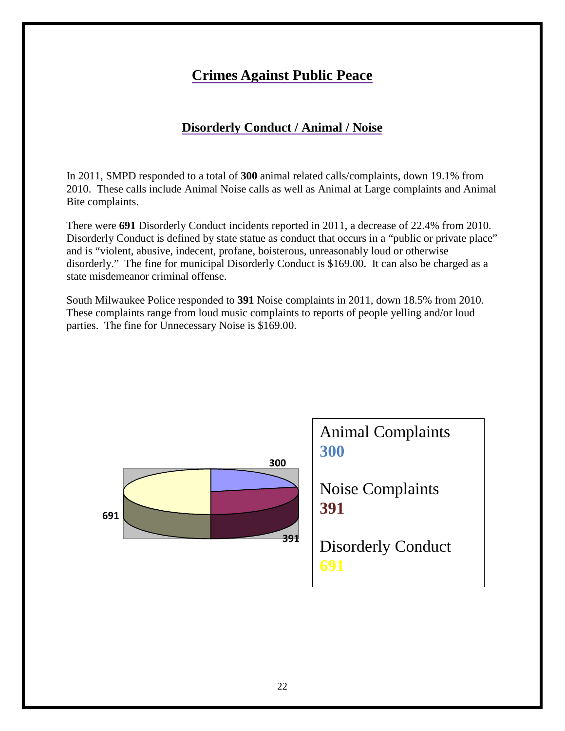# **Crimes Against Public Peace**

# **Disorderly Conduct / Animal / Noise**

In 2011, SMPD responded to a total of **300** animal related calls/complaints, down 19.1% from 2010. These calls include Animal Noise calls as well as Animal at Large complaints and Animal Bite complaints.

There were **691** Disorderly Conduct incidents reported in 2011, a decrease of 22.4% from 2010. Disorderly Conduct is defined by state statue as conduct that occurs in a "public or private place" and is "violent, abusive, indecent, profane, boisterous, unreasonably loud or otherwise disorderly." The fine for municipal Disorderly Conduct is \$169.00. It can also be charged as a state misdemeanor criminal offense.

South Milwaukee Police responded to **391** Noise complaints in 2011, down 18.5% from 2010. These complaints range from loud music complaints to reports of people yelling and/or loud parties. The fine for Unnecessary Noise is \$169.00.

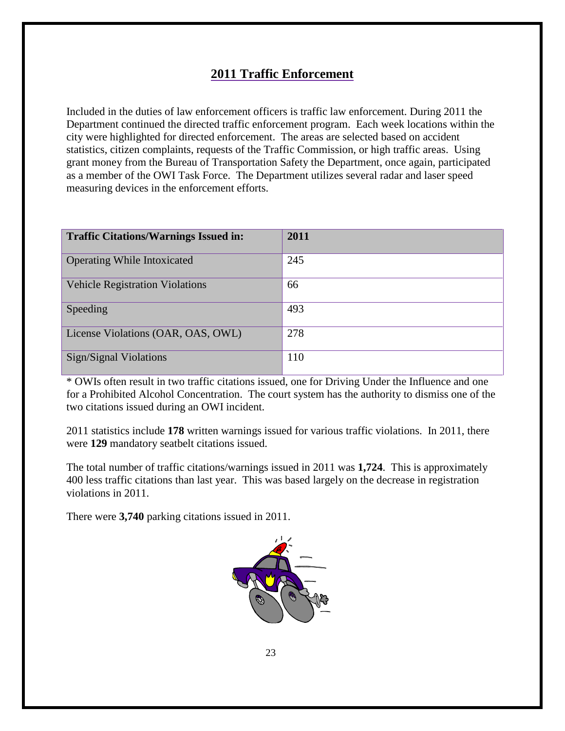# **2011 Traffic Enforcement**

Included in the duties of law enforcement officers is traffic law enforcement. During 2011 the Department continued the directed traffic enforcement program. Each week locations within the city were highlighted for directed enforcement. The areas are selected based on accident statistics, citizen complaints, requests of the Traffic Commission, or high traffic areas. Using grant money from the Bureau of Transportation Safety the Department, once again, participated as a member of the OWI Task Force. The Department utilizes several radar and laser speed measuring devices in the enforcement efforts.

| <b>Traffic Citations/Warnings Issued in:</b> | 2011 |
|----------------------------------------------|------|
| <b>Operating While Intoxicated</b>           | 245  |
| <b>Vehicle Registration Violations</b>       | 66   |
| Speeding                                     | 493  |
| License Violations (OAR, OAS, OWL)           | 278  |
| <b>Sign/Signal Violations</b>                | 110  |

\* OWIs often result in two traffic citations issued, one for Driving Under the Influence and one for a Prohibited Alcohol Concentration. The court system has the authority to dismiss one of the two citations issued during an OWI incident.

2011 statistics include **178** written warnings issued for various traffic violations. In 2011, there were **129** mandatory seatbelt citations issued.

The total number of traffic citations/warnings issued in 2011 was **1,724**. This is approximately 400 less traffic citations than last year. This was based largely on the decrease in registration violations in 2011.

There were **3,740** parking citations issued in 2011.

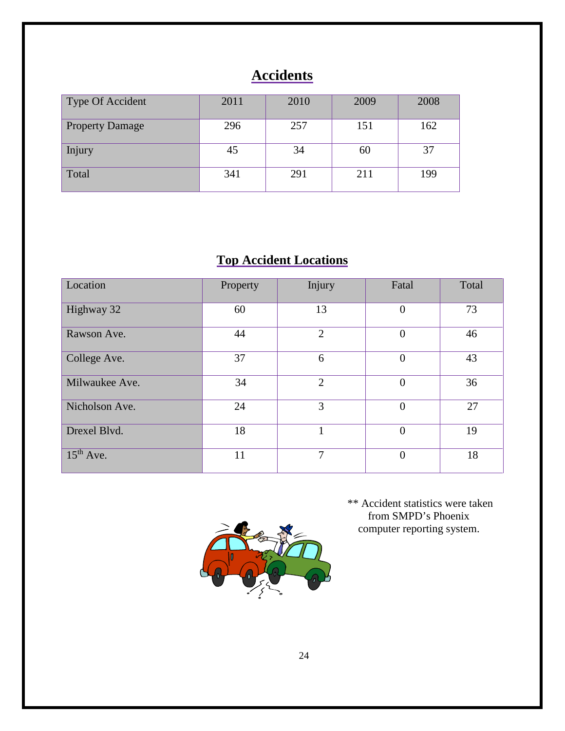# **Accidents**

| Type Of Accident       | 2011 | 2010 | 2009 | 2008 |
|------------------------|------|------|------|------|
| <b>Property Damage</b> | 296  | 257  | 151  | 162  |
| Injury                 | 45   | 34   | 60   | 37   |
| Total                  | 341  | 291  | 211  | 199  |

# **Top Accident Locations**

| Location       | Property | Injury         | Fatal          | Total |
|----------------|----------|----------------|----------------|-------|
| Highway 32     | 60       | 13             | $\overline{0}$ | 73    |
| Rawson Ave.    | 44       | $\overline{2}$ | $\theta$       | 46    |
| College Ave.   | 37       | 6              | $\overline{0}$ | 43    |
| Milwaukee Ave. | 34       | $\overline{2}$ | $\theta$       | 36    |
| Nicholson Ave. | 24       | 3              | $\theta$       | 27    |
| Drexel Blvd.   | 18       | 1              | $\overline{0}$ | 19    |
| $15th$ Ave.    | 11       | 7              | $\theta$       | 18    |



\*\* Accident statistics were taken from SMPD's Phoenix computer reporting system.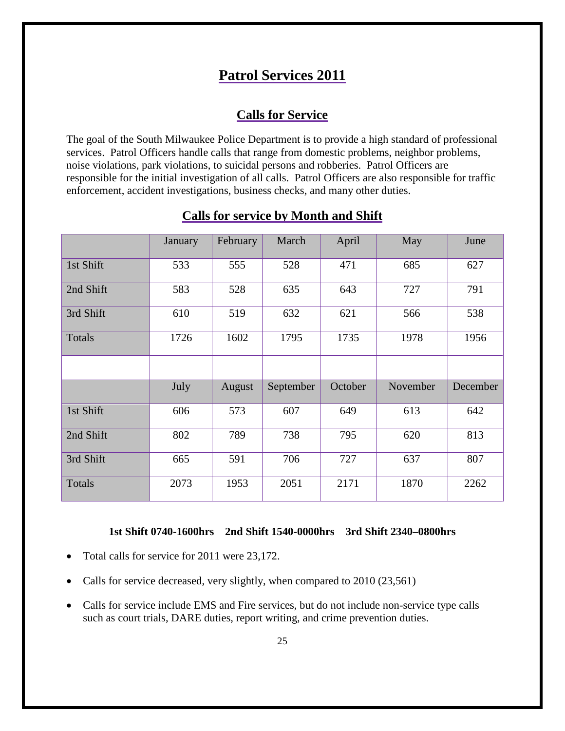# **Patrol Services 2011**

# **Calls for Service**

The goal of the South Milwaukee Police Department is to provide a high standard of professional services. Patrol Officers handle calls that range from domestic problems, neighbor problems, noise violations, park violations, to suicidal persons and robberies. Patrol Officers are responsible for the initial investigation of all calls. Patrol Officers are also responsible for traffic enforcement, accident investigations, business checks, and many other duties.

|           | January | February | March     | April   | May      | June     |
|-----------|---------|----------|-----------|---------|----------|----------|
| 1st Shift | 533     | 555      | 528       | 471     | 685      | 627      |
| 2nd Shift | 583     | 528      | 635       | 643     | 727      | 791      |
| 3rd Shift | 610     | 519      | 632       | 621     | 566      | 538      |
| Totals    | 1726    | 1602     | 1795      | 1735    | 1978     | 1956     |
|           |         |          |           |         |          |          |
|           | July    | August   | September | October | November | December |
| 1st Shift | 606     | 573      | 607       | 649     | 613      | 642      |
| 2nd Shift | 802     | 789      | 738       | 795     | 620      | 813      |
| 3rd Shift | 665     | 591      | 706       | 727     | 637      | 807      |
| Totals    | 2073    | 1953     | 2051      | 2171    | 1870     | 2262     |

#### **Calls for service by Month and Shift**

#### **1st Shift 0740-1600hrs 2nd Shift 1540-0000hrs 3rd Shift 2340–0800hrs**

- Total calls for service for 2011 were 23,172.
- Calls for service decreased, very slightly, when compared to 2010 (23,561)
- Calls for service include EMS and Fire services, but do not include non-service type calls such as court trials, DARE duties, report writing, and crime prevention duties.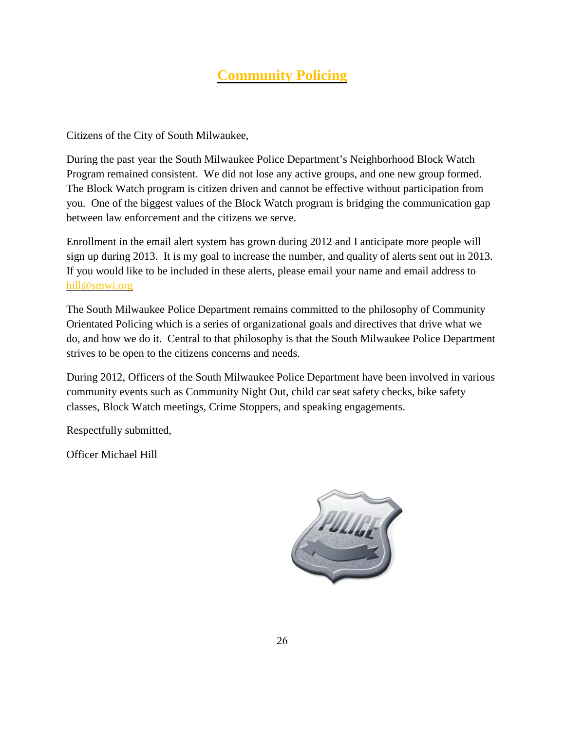# **Community Policing**

Citizens of the City of South Milwaukee,

During the past year the South Milwaukee Police Department's Neighborhood Block Watch Program remained consistent. We did not lose any active groups, and one new group formed. The Block Watch program is citizen driven and cannot be effective without participation from you. One of the biggest values of the Block Watch program is bridging the communication gap between law enforcement and the citizens we serve.

Enrollment in the email alert system has grown during 2012 and I anticipate more people will sign up during 2013. It is my goal to increase the number, and quality of alerts sent out in 2013. If you would like to be included in these alerts, please email your name and email address to hill@smwi.org

The South Milwaukee Police Department remains committed to the philosophy of Community Orientated Policing which is a series of organizational goals and directives that drive what we do, and how we do it. Central to that philosophy is that the South Milwaukee Police Department strives to be open to the citizens concerns and needs.

During 2012, Officers of the South Milwaukee Police Department have been involved in various community events such as Community Night Out, child car seat safety checks, bike safety classes, Block Watch meetings, Crime Stoppers, and speaking engagements.

Respectfully submitted,

Officer Michael Hill

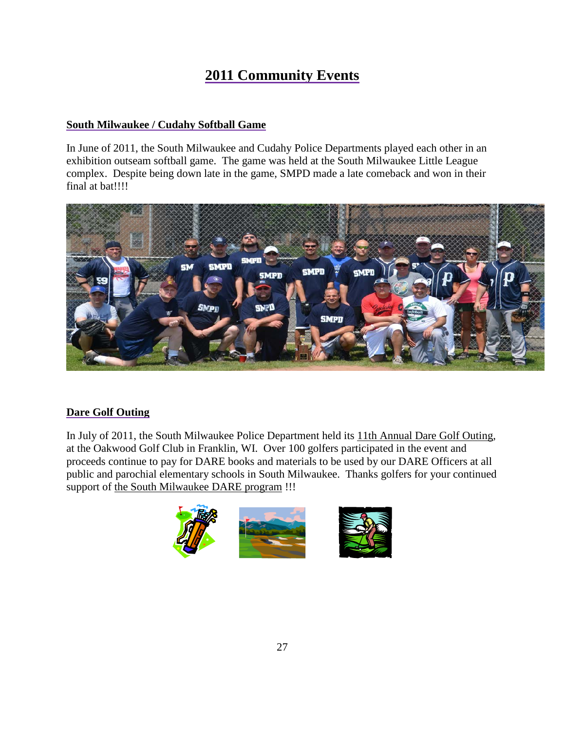# **2011 Community Events**

#### **South Milwaukee / Cudahy Softball Game**

In June of 2011, the South Milwaukee and Cudahy Police Departments played each other in an exhibition outseam softball game. The game was held at the South Milwaukee Little League complex. Despite being down late in the game, SMPD made a late comeback and won in their final at bat!!!!



#### **Dare Golf Outing**

In July of 2011, the South Milwaukee Police Department held its 11th Annual Dare Golf Outing, at the Oakwood Golf Club in Franklin, WI. Over 100 golfers participated in the event and proceeds continue to pay for DARE books and materials to be used by our DARE Officers at all public and parochial elementary schools in South Milwaukee. Thanks golfers for your continued support of the South Milwaukee DARE program !!!

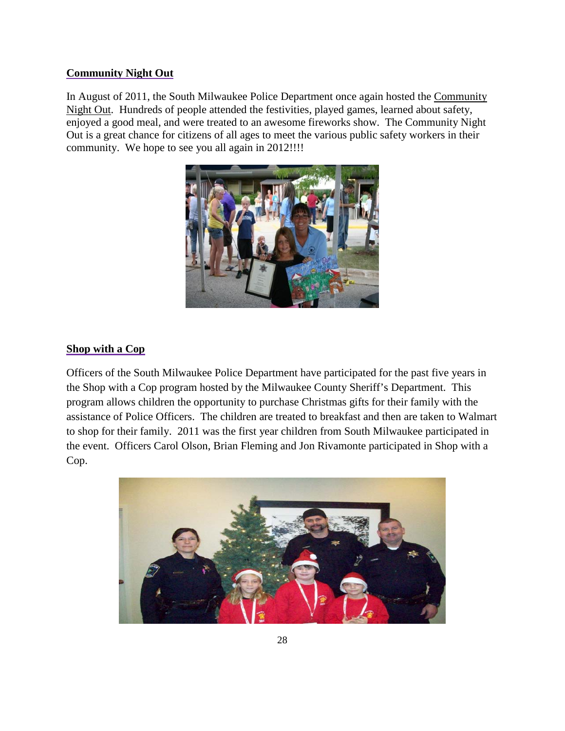#### **Community Night Out**

In August of 2011, the South Milwaukee Police Department once again hosted the Community Night Out. Hundreds of people attended the festivities, played games, learned about safety, enjoyed a good meal, and were treated to an awesome fireworks show. The Community Night Out is a great chance for citizens of all ages to meet the various public safety workers in their community. We hope to see you all again in 2012!!!!



#### **Shop with a Cop**

Officers of the South Milwaukee Police Department have participated for the past five years in the Shop with a Cop program hosted by the Milwaukee County Sheriff's Department. This program allows children the opportunity to purchase Christmas gifts for their family with the assistance of Police Officers. The children are treated to breakfast and then are taken to Walmart to shop for their family. 2011 was the first year children from South Milwaukee participated in the event. Officers Carol Olson, Brian Fleming and Jon Rivamonte participated in Shop with a Cop.

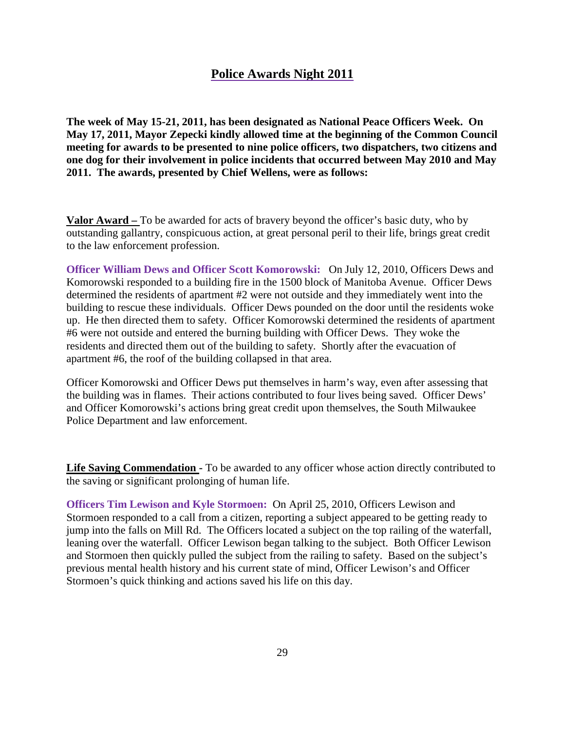#### **Police Awards Night 2011**

**The week of May 15-21, 2011, has been designated as National Peace Officers Week. On May 17, 2011, Mayor Zepecki kindly allowed time at the beginning of the Common Council meeting for awards to be presented to nine police officers, two dispatchers, two citizens and one dog for their involvement in police incidents that occurred between May 2010 and May 2011. The awards, presented by Chief Wellens, were as follows:**

**Valor Award –** To be awarded for acts of bravery beyond the officer's basic duty, who by outstanding gallantry, conspicuous action, at great personal peril to their life, brings great credit to the law enforcement profession.

**Officer William Dews and Officer Scott Komorowski:** On July 12, 2010, Officers Dews and Komorowski responded to a building fire in the 1500 block of Manitoba Avenue. Officer Dews determined the residents of apartment #2 were not outside and they immediately went into the building to rescue these individuals. Officer Dews pounded on the door until the residents woke up. He then directed them to safety. Officer Komorowski determined the residents of apartment #6 were not outside and entered the burning building with Officer Dews. They woke the residents and directed them out of the building to safety. Shortly after the evacuation of apartment #6, the roof of the building collapsed in that area.

Officer Komorowski and Officer Dews put themselves in harm's way, even after assessing that the building was in flames. Their actions contributed to four lives being saved. Officer Dews' and Officer Komorowski's actions bring great credit upon themselves, the South Milwaukee Police Department and law enforcement.

**Life Saving Commendation -** To be awarded to any officer whose action directly contributed to the saving or significant prolonging of human life.

**Officers Tim Lewison and Kyle Stormoen:** On April 25, 2010, Officers Lewison and Stormoen responded to a call from a citizen, reporting a subject appeared to be getting ready to jump into the falls on Mill Rd. The Officers located a subject on the top railing of the waterfall, leaning over the waterfall. Officer Lewison began talking to the subject. Both Officer Lewison and Stormoen then quickly pulled the subject from the railing to safety. Based on the subject's previous mental health history and his current state of mind, Officer Lewison's and Officer Stormoen's quick thinking and actions saved his life on this day.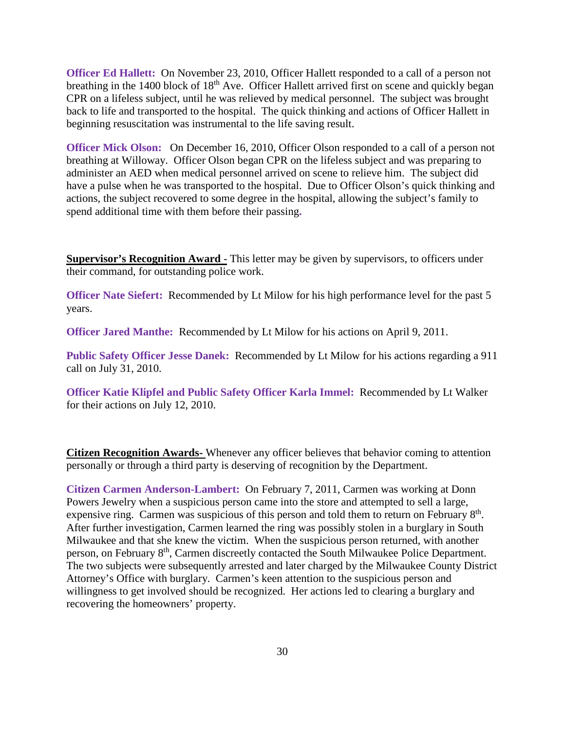**Officer Ed Hallett:** On November 23, 2010, Officer Hallett responded to a call of a person not breathing in the 1400 block of 18<sup>th</sup> Ave. Officer Hallett arrived first on scene and quickly began CPR on a lifeless subject, until he was relieved by medical personnel. The subject was brought back to life and transported to the hospital. The quick thinking and actions of Officer Hallett in beginning resuscitation was instrumental to the life saving result.

**Officer Mick Olson:** On December 16, 2010, Officer Olson responded to a call of a person not breathing at Willoway. Officer Olson began CPR on the lifeless subject and was preparing to administer an AED when medical personnel arrived on scene to relieve him. The subject did have a pulse when he was transported to the hospital. Due to Officer Olson's quick thinking and actions, the subject recovered to some degree in the hospital, allowing the subject's family to spend additional time with them before their passing**.** 

**Supervisor's Recognition Award** - This letter may be given by supervisors, to officers under their command, for outstanding police work.

**Officer Nate Siefert:** Recommended by Lt Milow for his high performance level for the past 5 years.

**Officer Jared Manthe:** Recommended by Lt Milow for his actions on April 9, 2011.

**Public Safety Officer Jesse Danek:** Recommended by Lt Milow for his actions regarding a 911 call on July 31, 2010.

**Officer Katie Klipfel and Public Safety Officer Karla Immel:** Recommended by Lt Walker for their actions on July 12, 2010.

**Citizen Recognition Awards-** Whenever any officer believes that behavior coming to attention personally or through a third party is deserving of recognition by the Department.

**Citizen Carmen Anderson-Lambert:** On February 7, 2011, Carmen was working at Donn Powers Jewelry when a suspicious person came into the store and attempted to sell a large, expensive ring. Carmen was suspicious of this person and told them to return on February 8<sup>th</sup>. After further investigation, Carmen learned the ring was possibly stolen in a burglary in South Milwaukee and that she knew the victim. When the suspicious person returned, with another person, on February 8th, Carmen discreetly contacted the South Milwaukee Police Department. The two subjects were subsequently arrested and later charged by the Milwaukee County District Attorney's Office with burglary. Carmen's keen attention to the suspicious person and willingness to get involved should be recognized. Her actions led to clearing a burglary and recovering the homeowners' property.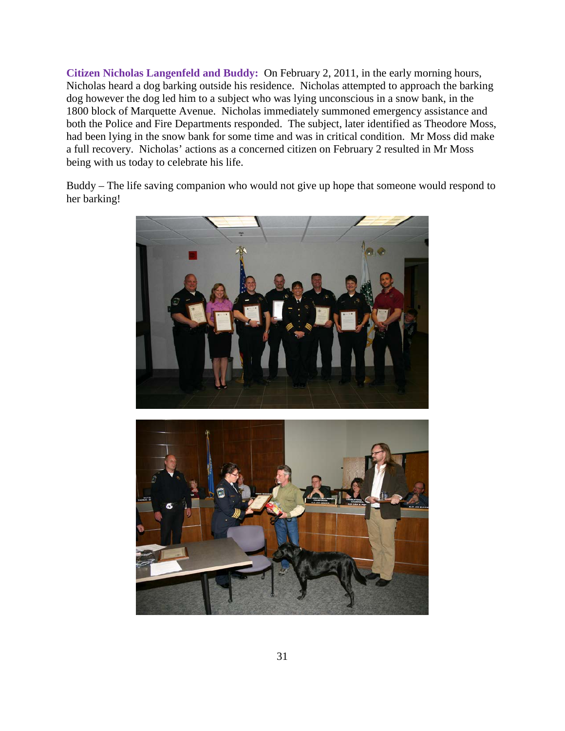**Citizen Nicholas Langenfeld and Buddy:** On February 2, 2011, in the early morning hours, Nicholas heard a dog barking outside his residence. Nicholas attempted to approach the barking dog however the dog led him to a subject who was lying unconscious in a snow bank, in the 1800 block of Marquette Avenue. Nicholas immediately summoned emergency assistance and both the Police and Fire Departments responded. The subject, later identified as Theodore Moss, had been lying in the snow bank for some time and was in critical condition. Mr Moss did make a full recovery. Nicholas' actions as a concerned citizen on February 2 resulted in Mr Moss being with us today to celebrate his life.

Buddy – The life saving companion who would not give up hope that someone would respond to her barking!



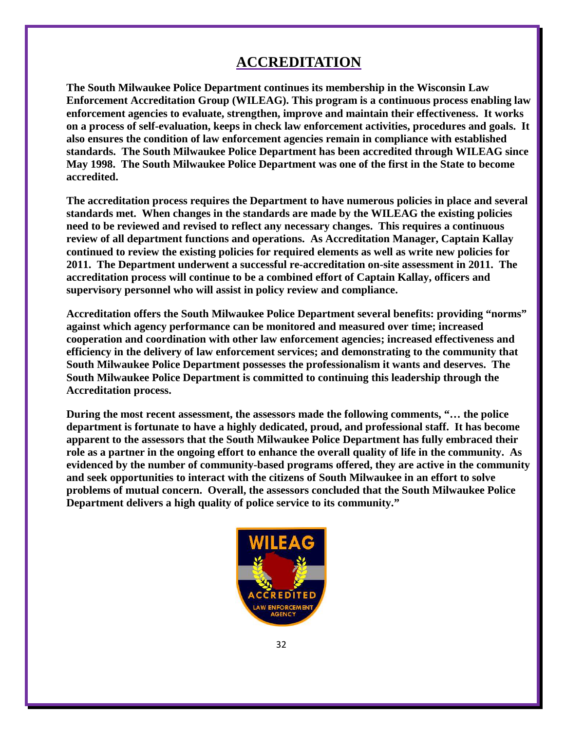# **ACCREDITATION**

**The South Milwaukee Police Department continues its membership in the Wisconsin Law Enforcement Accreditation Group (WILEAG). This program is a continuous process enabling law enforcement agencies to evaluate, strengthen, improve and maintain their effectiveness. It works on a process of self-evaluation, keeps in check law enforcement activities, procedures and goals. It also ensures the condition of law enforcement agencies remain in compliance with established standards. The South Milwaukee Police Department has been accredited through WILEAG since May 1998. The South Milwaukee Police Department was one of the first in the State to become accredited.**

**The accreditation process requires the Department to have numerous policies in place and several standards met. When changes in the standards are made by the WILEAG the existing policies need to be reviewed and revised to reflect any necessary changes. This requires a continuous review of all department functions and operations. As Accreditation Manager, Captain Kallay continued to review the existing policies for required elements as well as write new policies for 2011. The Department underwent a successful re-accreditation on-site assessment in 2011. The accreditation process will continue to be a combined effort of Captain Kallay, officers and supervisory personnel who will assist in policy review and compliance.**

**Accreditation offers the South Milwaukee Police Department several benefits: providing "norms" against which agency performance can be monitored and measured over time; increased cooperation and coordination with other law enforcement agencies; increased effectiveness and efficiency in the delivery of law enforcement services; and demonstrating to the community that South Milwaukee Police Department possesses the professionalism it wants and deserves. The South Milwaukee Police Department is committed to continuing this leadership through the Accreditation process.**

**During the most recent assessment, the assessors made the following comments, "… the police department is fortunate to have a highly dedicated, proud, and professional staff. It has become apparent to the assessors that the South Milwaukee Police Department has fully embraced their role as a partner in the ongoing effort to enhance the overall quality of life in the community. As evidenced by the number of community-based programs offered, they are active in the community and seek opportunities to interact with the citizens of South Milwaukee in an effort to solve problems of mutual concern. Overall, the assessors concluded that the South Milwaukee Police Department delivers a high quality of police service to its community."**